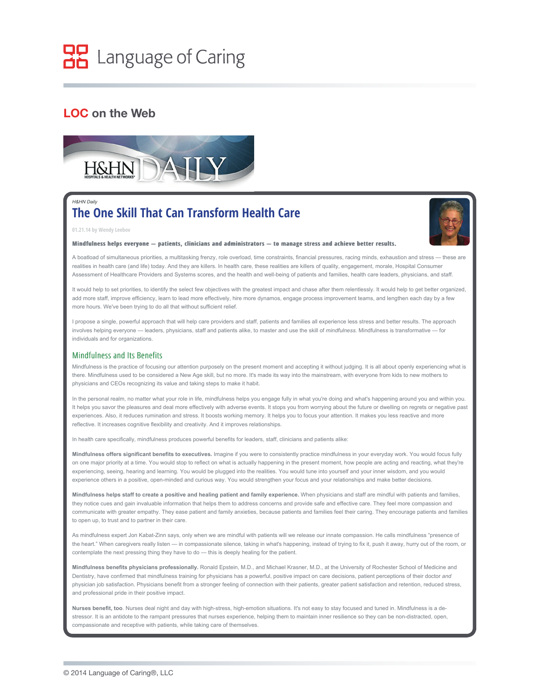# HP Language of Caring

## **LOC on the Web**



## *H&HN Daily* **The One Skill That Can Transform Health Care**



## **01.21.14 by Wendy Leebov**

### **Mindfulness helps everyone — patients, clinicians and administrators — to manage stress and achieve better results. Mindfulness helps — patients, clinicians and administrators — to stress achieve results.**

A boatload of simultaneous priorities, a multitasking frenzy, role overload, time constraints, financial pressures, racing minds, exhaustion and stress — these are realities in health care (and life) today. And they are killers. In health care, these realities are killers of quality, engagement, morale, Hospital Consumer Assessment of Healthcare Providers and Systems scores, and the health and well-being of patients and families, health care leaders, physicians, and staff.

The One Skill That Can Transform Health Care 2/13/14 9:31 AM

It would help to set priorities, to identify the select few objectives with the greatest impact and chase after them relentlessly. It would help to get better organized, add more staff, improve efficiency, learn to lead more effectively, hire more dynamos, engage process improvement teams, and lengthen each day by a few more hours. We've been trying to do all that without sufficient relief.

I propose a single, powerful approach that will help care providers and staff, patients and families all experience less stress and better results. The approach involves helping everyone — leaders, physicians, staff and patients alike, to master and use the skill of *mindfulness.* Mindfulness is transformative — for individuals and for organizations.

### Mindfulness and Its Benefits

Mindfulness is the practice of focusing our attention purposely on the present moment and accepting it without judging. It is all about openly experiencing what is there. Mindfulness used to be considered a New Age skill, but no more. It's made its way into the mainstream, with everyone from kids to new mothers to physicians and CEOs recognizing its value and taking steps to make it habit.

In the personal realm, no matter what your role in life, mindfulness helps you engage fully in what you're doing and what's happening around you and within you. It helps you savor the pleasures and deal more effectively with adverse events. It stops you from worrying about the future or dwelling on regrets or negative past experiences. Also, it reduces rumination and stress. It boosts working memory. It helps you to focus your attention. It makes you less reactive and more reflective. It increases cognitive flexibility and creativity. And it improves relationships.

In health care specifically, mindfulness produces powerful benefits for leaders, staff, clinicians and patients alike:

**Mindfulness offers significant benefits to executives.** Imagine if you were to consistently practice mindfulness in your everyday work. You would focus fully on one major priority at a time. You would stop to reflect on what is actually happening in the present moment, how people are acting and reacting, what they're experiencing, seeing, hearing and learning. You would be plugged into the realities. You would tune into yourself and your inner wisdom, and you would experience others in a positive, open-minded and curious way. You would strengthen your focus and your relationships and make better decisions.

**Mindfulness helps staff to create a positive and healing patient and family experience.** When physicians and staff are mindful with patients and families, they notice cues and gain invaluable information that helps them to address concerns and provide safe and effective care. They feel more compassion and communicate with greater empathy. They ease patient and family anxieties, because patients and families feel their caring. They encourage patients and families to open up, to trust and to partner in their care.

As mindfulness expert Jon Kabat-Zinn says, only when we are mindful with patients will we release our innate compassion. He calls mindfulness "presence of the heart." When caregivers really listen — in compassionate silence, taking in what's happening, instead of trying to fix it, push it away, hurry out of the room, or contemplate the next pressing thing they have to do — this is deeply healing for the patient.

**Mindfulness benefits physicians professionally.** Ronald Epstein, M.D., and Michael Krasner, M.D., at the University of Rochester School of Medicine and Dentistry, have confirmed that mindfulness training for physicians has a powerful, positive impact on care decisions, patient perceptions of their doctor *and* physician job satisfaction. Physicians benefit from a stronger feeling of connection with their patients, greater patient satisfaction and retention, reduced stress, and professional pride in their positive impact.

Nurses benefit, too. Nurses deal night and day with high-stress, high-emotion situations. It's not easy to stay focused and tuned in. Mindfulness is a destressor. It is an antidote to the rampant pressures that nurses experience, helping them to maintain inner resilience so they can be non-distracted, open, compassionate and receptive with patients, while taking care of themselves.